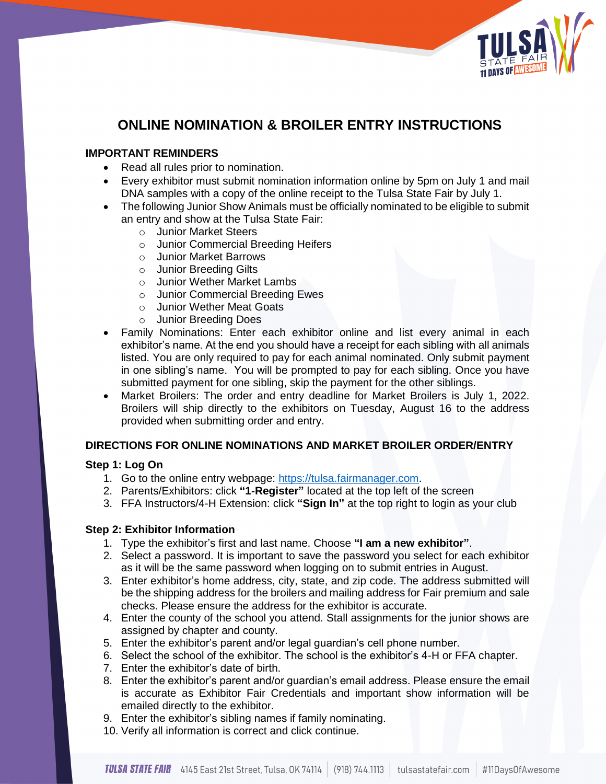

# **ONLINE NOMINATION & BROILER ENTRY INSTRUCTIONS**

# **IMPORTANT REMINDERS**

- Read all rules prior to nomination.
- Every exhibitor must submit nomination information online by 5pm on July 1 and mail DNA samples with a copy of the online receipt to the Tulsa State Fair by July 1.
- The following Junior Show Animals must be officially nominated to be eligible to submit an entry and show at the Tulsa State Fair:
	- o Junior Market Steers
	- o Junior Commercial Breeding Heifers
	- o Junior Market Barrows
	- o Junior Breeding Gilts
	- o Junior Wether Market Lambs
	- o Junior Commercial Breeding Ewes
	- o Junior Wether Meat Goats
	- o Junior Breeding Does
- Family Nominations: Enter each exhibitor online and list every animal in each exhibitor's name. At the end you should have a receipt for each sibling with all animals listed. You are only required to pay for each animal nominated. Only submit payment in one sibling's name. You will be prompted to pay for each sibling. Once you have submitted payment for one sibling, skip the payment for the other siblings.
- Market Broilers: The order and entry deadline for Market Broilers is July 1, 2022. Broilers will ship directly to the exhibitors on Tuesday, August 16 to the address provided when submitting order and entry.

# **DIRECTIONS FOR ONLINE NOMINATIONS AND MARKET BROILER ORDER/ENTRY**

# **Step 1: Log On**

- 1. Go to the online entry webpage: [https://tulsa.fairmanager.com.](https://tulsa.fairmanager.com/)
- 2. Parents/Exhibitors: click **"1-Register"** located at the top left of the screen
- 3. FFA Instructors/4-H Extension: click **"Sign In"** at the top right to login as your club

# **Step 2: Exhibitor Information**

- 1. Type the exhibitor's first and last name. Choose **"I am a new exhibitor"**.
- 2. Select a password. It is important to save the password you select for each exhibitor as it will be the same password when logging on to submit entries in August.
- 3. Enter exhibitor's home address, city, state, and zip code. The address submitted will be the shipping address for the broilers and mailing address for Fair premium and sale checks. Please ensure the address for the exhibitor is accurate.
- 4. Enter the county of the school you attend. Stall assignments for the junior shows are assigned by chapter and county.
- 5. Enter the exhibitor's parent and/or legal guardian's cell phone number.
- 6. Select the school of the exhibitor. The school is the exhibitor's 4-H or FFA chapter.
- 7. Enter the exhibitor's date of birth.
- 8. Enter the exhibitor's parent and/or guardian's email address. Please ensure the email is accurate as Exhibitor Fair Credentials and important show information will be emailed directly to the exhibitor.
- 9. Enter the exhibitor's sibling names if family nominating.
- 10. Verify all information is correct and click continue.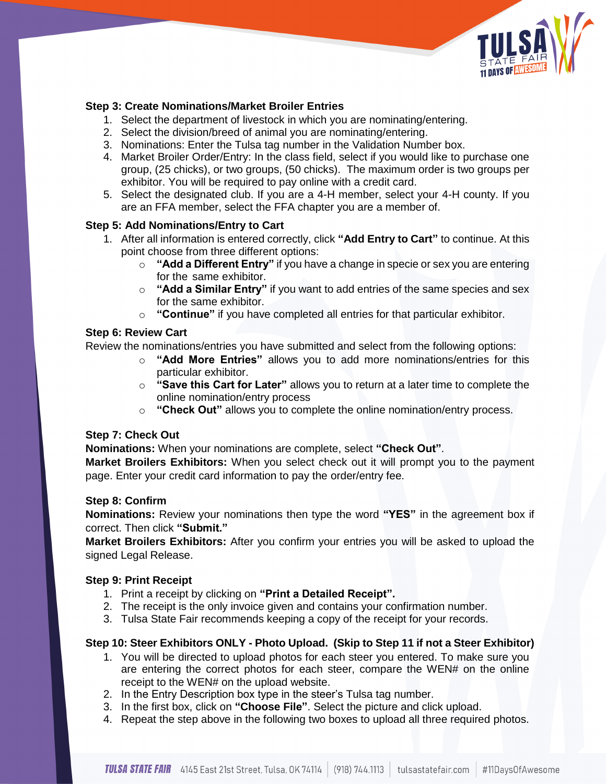

# **Step 3: Create Nominations/Market Broiler Entries**

- 1. Select the department of livestock in which you are nominating/entering.
- 2. Select the division/breed of animal you are nominating/entering.
- 3. Nominations: Enter the Tulsa tag number in the Validation Number box.
- 4. Market Broiler Order/Entry: In the class field, select if you would like to purchase one group, (25 chicks), or two groups, (50 chicks). The maximum order is two groups per exhibitor. You will be required to pay online with a credit card.
- 5. Select the designated club. If you are a 4-H member, select your 4-H county. If you are an FFA member, select the FFA chapter you are a member of.

# **Step 5: Add Nominations/Entry to Cart**

- 1. After all information is entered correctly, click **"Add Entry to Cart"** to continue. At this point choose from three different options:
	- o **"Add a Different Entry"** if you have a change in specie or sex you are entering for the same exhibitor.
	- o **"Add a Similar Entry"** if you want to add entries of the same species and sex for the same exhibitor.
	- o **"Continue"** if you have completed all entries for that particular exhibitor.

#### **Step 6: Review Cart**

Review the nominations/entries you have submitted and select from the following options:

- o **"Add More Entries"** allows you to add more nominations/entries for this particular exhibitor.
- o **"Save this Cart for Later"** allows you to return at a later time to complete the online nomination/entry process
- o **"Check Out"** allows you to complete the online nomination/entry process.

# **Step 7: Check Out**

**Nominations:** When your nominations are complete, select **"Check Out"**.

**Market Broilers Exhibitors:** When you select check out it will prompt you to the payment page. Enter your credit card information to pay the order/entry fee.

# **Step 8: Confirm**

**Nominations:** Review your nominations then type the word **"YES"** in the agreement box if correct. Then click **"Submit."**

**Market Broilers Exhibitors:** After you confirm your entries you will be asked to upload the signed Legal Release.

#### **Step 9: Print Receipt**

- 1. Print a receipt by clicking on **"Print a Detailed Receipt".**
- 2. The receipt is the only invoice given and contains your confirmation number.
- 3. Tulsa State Fair recommends keeping a copy of the receipt for your records.

# **Step 10: Steer Exhibitors ONLY - Photo Upload. (Skip to Step 11 if not a Steer Exhibitor)**

- 1. You will be directed to upload photos for each steer you entered. To make sure you are entering the correct photos for each steer, compare the WEN# on the online receipt to the WEN# on the upload website.
- 2. In the Entry Description box type in the steer's Tulsa tag number.
- 3. In the first box, click on **"Choose File"**. Select the picture and click upload.
- 4. Repeat the step above in the following two boxes to upload all three required photos.